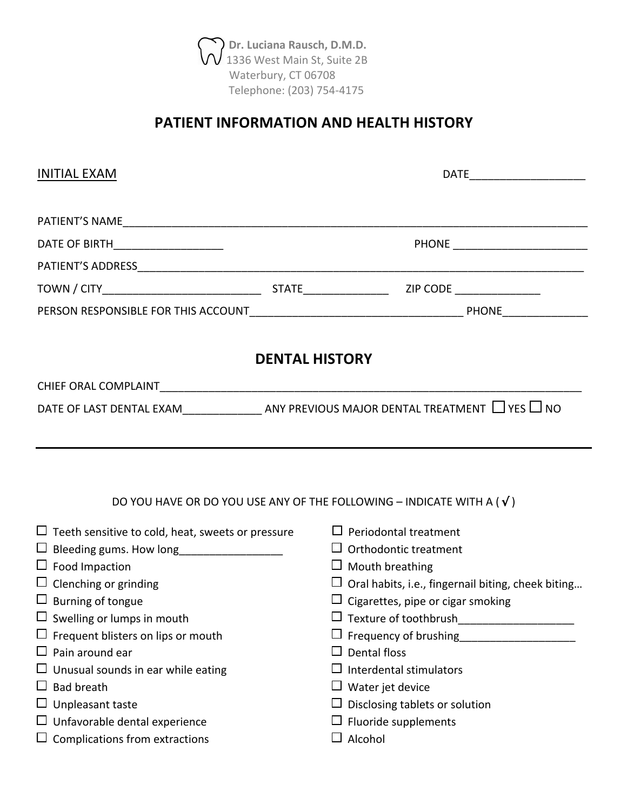$\langle \rangle$  Dr. Luciana Rausch, D.M.D.  $VV$  1336 West Main St, Suite 2B Waterbury, CT 06708 Telephone: (203) 754-4175

# **PATIENT INFORMATION AND HEALTH HISTORY**

| <b>INITIAL EXAM</b>                                                             | DATE_________________________                             |  |  |  |  |  |
|---------------------------------------------------------------------------------|-----------------------------------------------------------|--|--|--|--|--|
|                                                                                 |                                                           |  |  |  |  |  |
| DATE OF BIRTH_____________________                                              | PHONE __________________________                          |  |  |  |  |  |
|                                                                                 |                                                           |  |  |  |  |  |
|                                                                                 |                                                           |  |  |  |  |  |
|                                                                                 |                                                           |  |  |  |  |  |
| <b>DENTAL HISTORY</b>                                                           |                                                           |  |  |  |  |  |
|                                                                                 |                                                           |  |  |  |  |  |
|                                                                                 |                                                           |  |  |  |  |  |
|                                                                                 |                                                           |  |  |  |  |  |
| DO YOU HAVE OR DO YOU USE ANY OF THE FOLLOWING - INDICATE WITH A ( $\sqrt{ }$ ) |                                                           |  |  |  |  |  |
| $\Box$ Teeth sensitive to cold, heat, sweets or pressure                        | $\Box$ Periodontal treatment                              |  |  |  |  |  |
| $\Box$ Bleeding gums. How long___________________                               | $\Box$ Orthodontic treatment                              |  |  |  |  |  |
| $\Box$ Food Impaction                                                           | $\Box$ Mouth breathing                                    |  |  |  |  |  |
| $\Box$ Clenching or grinding                                                    | $\Box$ Oral habits, i.e., fingernail biting, cheek biting |  |  |  |  |  |
| $\Box$ Burning of tongue                                                        | $\Box$ Cigarettes, pipe or cigar smoking                  |  |  |  |  |  |
| $\square$ Swelling or lumps in mouth                                            | $\Box$ Texture of toothbrush______________________        |  |  |  |  |  |
| $\Box$ Frequent blisters on lips or mouth                                       | $\Box$ Frequency of brushing                              |  |  |  |  |  |
| $\Box$ Pain around ear                                                          | $\Box$ Dental floss                                       |  |  |  |  |  |
| $\Box$ Unusual sounds in ear while eating                                       | $\Box$ Interdental stimulators                            |  |  |  |  |  |
| $\Box$ Bad breath                                                               | $\Box$ Water jet device                                   |  |  |  |  |  |
| $\Box$ Unpleasant taste                                                         | $\Box$ Disclosing tablets or solution                     |  |  |  |  |  |
| $\Box$ Unfavorable dental experience                                            | $\Box$ Fluoride supplements                               |  |  |  |  |  |
| $\Box$ Complications from extractions                                           | $\Box$ Alcohol                                            |  |  |  |  |  |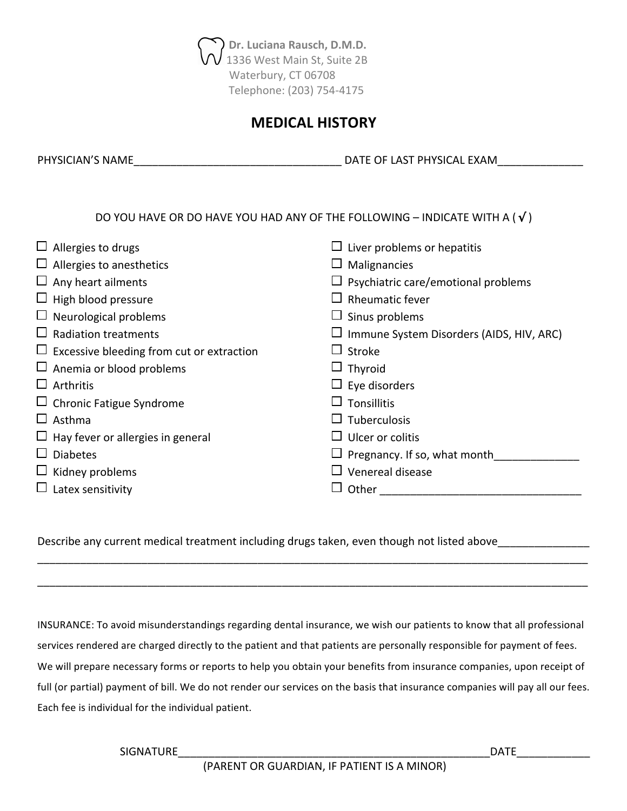

#### **MEDICAL HISTORY**

PHYSICIAN'S NAME\_\_\_\_\_\_\_\_\_\_\_\_\_\_\_\_\_\_\_\_\_\_\_\_\_\_\_\_\_\_\_\_\_\_ DATE OF LAST PHYSICAL EXAM\_\_\_\_\_\_\_\_\_\_\_\_\_\_

DO YOU HAVE OR DO HAVE YOU HAD ANY OF THE FOLLOWING – INDICATE WITH A ( $\sqrt{}$ )

| $\Box$ Allergies to drugs                        | Liver problems or hepatitis              |
|--------------------------------------------------|------------------------------------------|
| $\Box$ Allergies to anesthetics                  | Malignancies                             |
| $\Box$ Any heart ailments                        | Psychiatric care/emotional problems      |
| $\Box$ High blood pressure                       | Rheumatic fever                          |
| $\Box$ Neurological problems                     | Sinus problems                           |
| $\Box$ Radiation treatments                      | Immune System Disorders (AIDS, HIV, ARC) |
| $\Box$ Excessive bleeding from cut or extraction | Stroke                                   |
| $\Box$ Anemia or blood problems                  | $\Box$ Thyroid                           |
| $\Box$ Arthritis                                 | $\Box$ Eye disorders                     |
| $\Box$ Chronic Fatigue Syndrome                  | Tonsillitis                              |
| $\Box$ Asthma                                    | Tuberculosis                             |
| $\Box$ Hay fever or allergies in general         | Ulcer or colitis                         |
| $\Box$ Diabetes                                  | Pregnancy. If so, what month             |
| $\Box$ Kidney problems                           | Venereal disease                         |
| $\Box$ Latex sensitivity                         | Other                                    |

Describe any current medical treatment including drugs taken, even though not listed above\_\_\_\_\_\_\_\_\_

INSURANCE: To avoid misunderstandings regarding dental insurance, we wish our patients to know that all professional services rendered are charged directly to the patient and that patients are personally responsible for payment of fees. We will prepare necessary forms or reports to help you obtain your benefits from insurance companies, upon receipt of full (or partial) payment of bill. We do not render our services on the basis that insurance companies will pay all our fees. Each fee is individual for the individual patient.

\_\_\_\_\_\_\_\_\_\_\_\_\_\_\_\_\_\_\_\_\_\_\_\_\_\_\_\_\_\_\_\_\_\_\_\_\_\_\_\_\_\_\_\_\_\_\_\_\_\_\_\_\_\_\_\_\_\_\_\_\_\_\_\_\_\_\_\_\_\_\_\_\_\_\_\_\_\_\_\_\_\_\_\_\_\_\_\_\_\_

\_\_\_\_\_\_\_\_\_\_\_\_\_\_\_\_\_\_\_\_\_\_\_\_\_\_\_\_\_\_\_\_\_\_\_\_\_\_\_\_\_\_\_\_\_\_\_\_\_\_\_\_\_\_\_\_\_\_\_\_\_\_\_\_\_\_\_\_\_\_\_\_\_\_\_\_\_\_\_\_\_\_\_\_\_\_\_\_\_\_

SIGNATURE\_\_\_\_\_\_\_\_\_\_\_\_\_\_\_\_\_\_\_\_\_\_\_\_\_\_\_\_\_\_\_\_\_\_\_\_\_\_\_\_\_\_\_\_\_\_\_\_\_\_\_DATE\_\_\_\_\_\_\_\_\_\_\_\_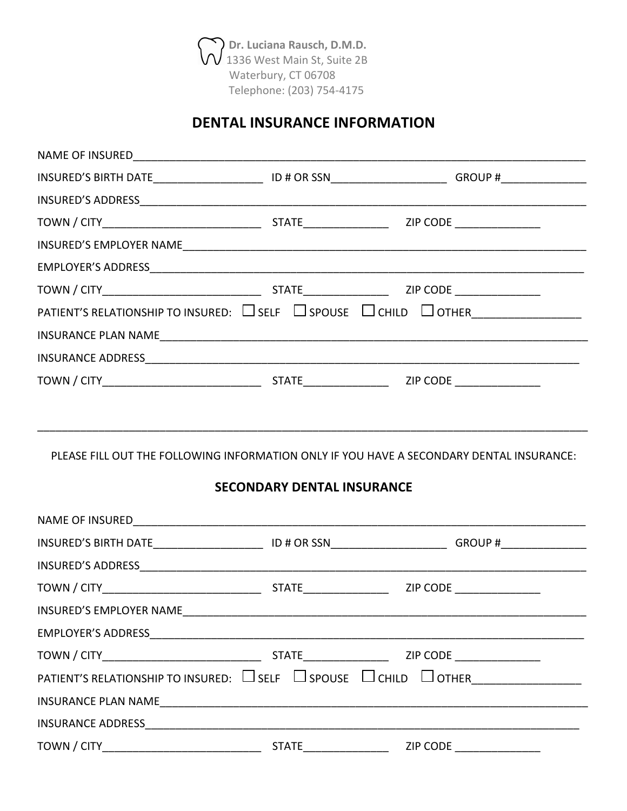Dr. Luciana Rausch, D.M.D. 1336 West Main St, Suite 2B Waterbury, CT 06708 Telephone: (203) 754-4175

# **DENTAL INSURANCE INFORMATION**

|                                                                                                                               |  | INSURED'S BIRTH DATE___________________________ID # OR SSN_______________________GROUP #_________________ |  |  |  |  |
|-------------------------------------------------------------------------------------------------------------------------------|--|-----------------------------------------------------------------------------------------------------------|--|--|--|--|
|                                                                                                                               |  |                                                                                                           |  |  |  |  |
|                                                                                                                               |  |                                                                                                           |  |  |  |  |
|                                                                                                                               |  |                                                                                                           |  |  |  |  |
|                                                                                                                               |  |                                                                                                           |  |  |  |  |
|                                                                                                                               |  |                                                                                                           |  |  |  |  |
|                                                                                                                               |  |                                                                                                           |  |  |  |  |
|                                                                                                                               |  |                                                                                                           |  |  |  |  |
|                                                                                                                               |  |                                                                                                           |  |  |  |  |
|                                                                                                                               |  |                                                                                                           |  |  |  |  |
| PLEASE FILL OUT THE FOLLOWING INFORMATION ONLY IF YOU HAVE A SECONDARY DENTAL INSURANCE:<br><b>SECONDARY DENTAL INSURANCE</b> |  |                                                                                                           |  |  |  |  |
|                                                                                                                               |  |                                                                                                           |  |  |  |  |
|                                                                                                                               |  | INSURED'S BIRTH DATE___________________________ID # OR SSN_______________________GROUP #_________________ |  |  |  |  |
|                                                                                                                               |  |                                                                                                           |  |  |  |  |
|                                                                                                                               |  |                                                                                                           |  |  |  |  |
|                                                                                                                               |  |                                                                                                           |  |  |  |  |
|                                                                                                                               |  |                                                                                                           |  |  |  |  |
|                                                                                                                               |  |                                                                                                           |  |  |  |  |
| PATIENT'S RELATIONSHIP TO INSURED: $\Box$ SELF $\Box$ SPOUSE $\Box$ CHILD $\Box$ OTHER                                        |  |                                                                                                           |  |  |  |  |
|                                                                                                                               |  |                                                                                                           |  |  |  |  |
|                                                                                                                               |  |                                                                                                           |  |  |  |  |
| TOWN / CITY STATE STATE                                                                                                       |  | ZIP CODE                                                                                                  |  |  |  |  |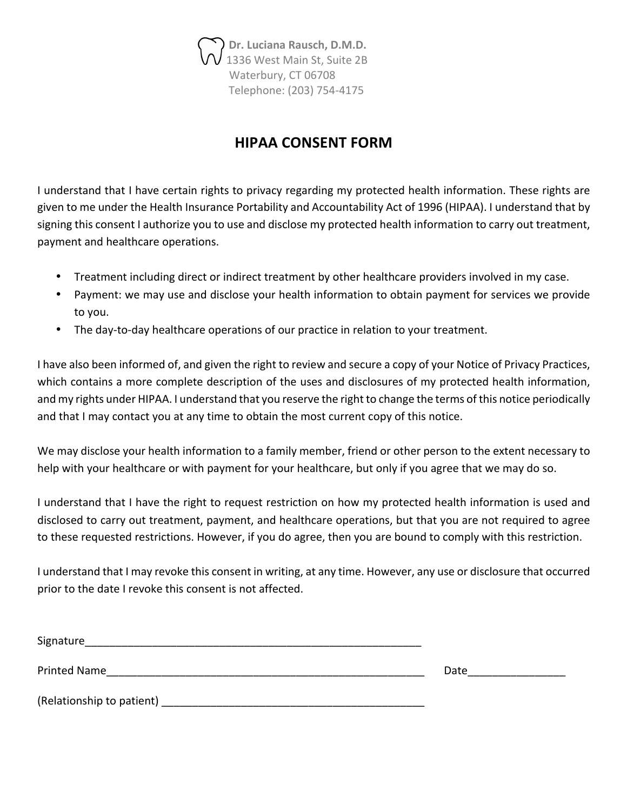*Dr. Luciana Rausch, D.M.D.* 1336 West Main St, Suite 2B Waterbury, CT 06708 Telephone: (203) 754-4175

### **HIPAA CONSENT FORM**

I understand that I have certain rights to privacy regarding my protected health information. These rights are given to me under the Health Insurance Portability and Accountability Act of 1996 (HIPAA). I understand that by signing this consent I authorize you to use and disclose my protected health information to carry out treatment, payment and healthcare operations.

- Treatment including direct or indirect treatment by other healthcare providers involved in my case.
- Payment: we may use and disclose your health information to obtain payment for services we provide to you.
- The day-to-day healthcare operations of our practice in relation to your treatment.

I have also been informed of, and given the right to review and secure a copy of your Notice of Privacy Practices, which contains a more complete description of the uses and disclosures of my protected health information, and my rights under HIPAA. I understand that you reserve the right to change the terms of this notice periodically and that I may contact you at any time to obtain the most current copy of this notice.

We may disclose your health information to a family member, friend or other person to the extent necessary to help with your healthcare or with payment for your healthcare, but only if you agree that we may do so.

I understand that I have the right to request restriction on how my protected health information is used and disclosed to carry out treatment, payment, and healthcare operations, but that you are not required to agree to these requested restrictions. However, if you do agree, then you are bound to comply with this restriction.

I understand that I may revoke this consent in writing, at any time. However, any use or disclosure that occurred prior to the date I revoke this consent is not affected.

| Signature                 |      |
|---------------------------|------|
| <b>Printed Name</b>       | Date |
| (Relationship to patient) |      |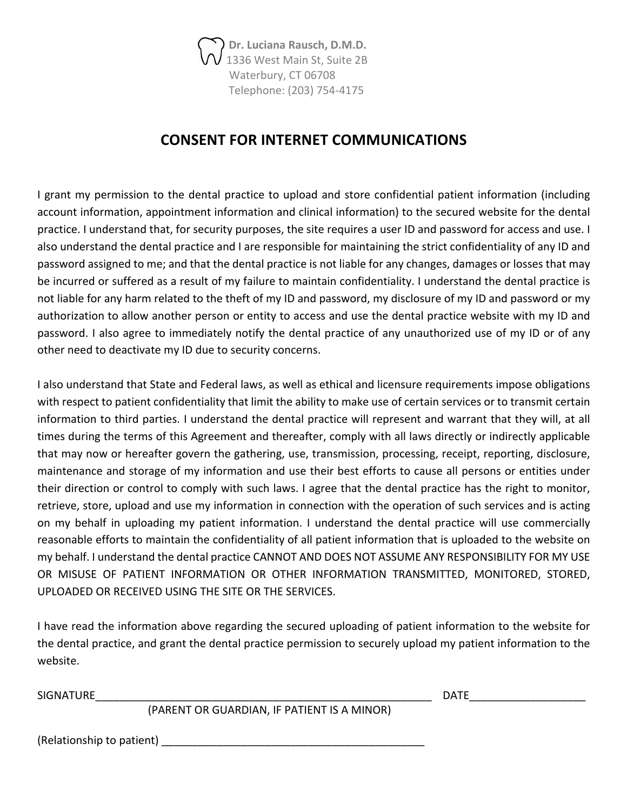Dr. Luciana Rausch, D.M.D. 1336 West Main St, Suite 2B Waterbury, CT 06708 Telephone: (203) 754-4175

#### **CONSENT FOR INTERNET COMMUNICATIONS**

I grant my permission to the dental practice to upload and store confidential patient information (including account information, appointment information and clinical information) to the secured website for the dental practice. I understand that, for security purposes, the site requires a user ID and password for access and use. I also understand the dental practice and I are responsible for maintaining the strict confidentiality of any ID and password assigned to me; and that the dental practice is not liable for any changes, damages or losses that may be incurred or suffered as a result of my failure to maintain confidentiality. I understand the dental practice is not liable for any harm related to the theft of my ID and password, my disclosure of my ID and password or my authorization to allow another person or entity to access and use the dental practice website with my ID and password. I also agree to immediately notify the dental practice of any unauthorized use of my ID or of any other need to deactivate my ID due to security concerns.

I also understand that State and Federal laws, as well as ethical and licensure requirements impose obligations with respect to patient confidentiality that limit the ability to make use of certain services or to transmit certain information to third parties. I understand the dental practice will represent and warrant that they will, at all times during the terms of this Agreement and thereafter, comply with all laws directly or indirectly applicable that may now or hereafter govern the gathering, use, transmission, processing, receipt, reporting, disclosure, maintenance and storage of my information and use their best efforts to cause all persons or entities under their direction or control to comply with such laws. I agree that the dental practice has the right to monitor, retrieve, store, upload and use my information in connection with the operation of such services and is acting on my behalf in uploading my patient information. I understand the dental practice will use commercially reasonable efforts to maintain the confidentiality of all patient information that is uploaded to the website on my behalf. I understand the dental practice CANNOT AND DOES NOT ASSUME ANY RESPONSIBILITY FOR MY USE OR MISUSE OF PATIENT INFORMATION OR OTHER INFORMATION TRANSMITTED, MONITORED, STORED, UPLOADED OR RECEIVED USING THE SITE OR THE SERVICES.

I have read the information above regarding the secured uploading of patient information to the website for the dental practice, and grant the dental practice permission to securely upload my patient information to the website.

SIGNATURE\_\_\_\_\_\_\_\_\_\_\_\_\_\_\_\_\_\_\_\_\_\_\_\_\_\_\_\_\_\_\_\_\_\_\_\_\_\_\_\_\_\_\_\_\_\_\_\_\_\_\_\_\_\_\_ DATE\_\_\_\_\_\_\_\_\_\_\_\_\_\_\_\_\_\_\_ 

(PARENT OR GUARDIAN, IF PATIENT IS A MINOR)

 $(Relationship to patient)$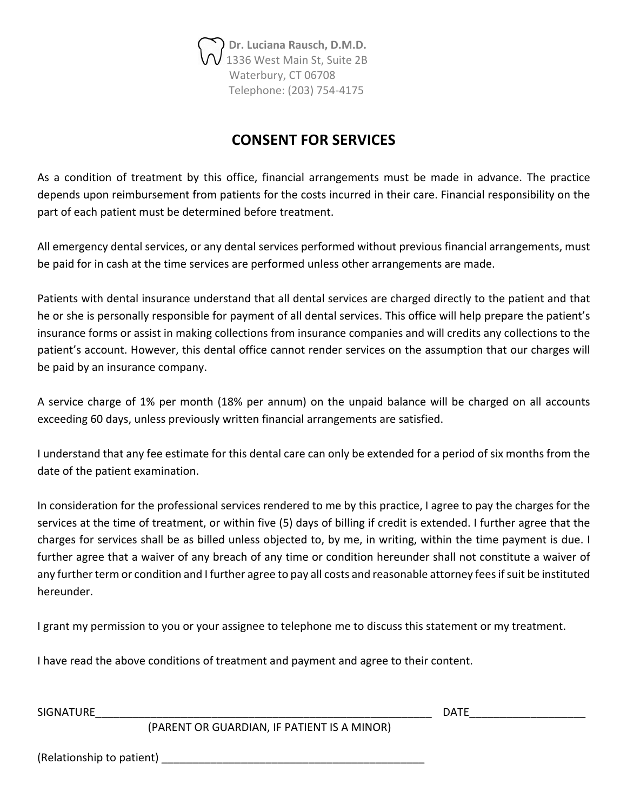Dr. Luciana Rausch, D.M.D. 1336 West Main St, Suite 2B Waterbury, CT 06708 Telephone: (203) 754-4175

### **CONSENT FOR SERVICES**

As a condition of treatment by this office, financial arrangements must be made in advance. The practice depends upon reimbursement from patients for the costs incurred in their care. Financial responsibility on the part of each patient must be determined before treatment.

All emergency dental services, or any dental services performed without previous financial arrangements, must be paid for in cash at the time services are performed unless other arrangements are made.

Patients with dental insurance understand that all dental services are charged directly to the patient and that he or she is personally responsible for payment of all dental services. This office will help prepare the patient's insurance forms or assist in making collections from insurance companies and will credits any collections to the patient's account. However, this dental office cannot render services on the assumption that our charges will be paid by an insurance company.

A service charge of 1% per month (18% per annum) on the unpaid balance will be charged on all accounts exceeding 60 days, unless previously written financial arrangements are satisfied.

I understand that any fee estimate for this dental care can only be extended for a period of six months from the date of the patient examination.

In consideration for the professional services rendered to me by this practice, I agree to pay the charges for the services at the time of treatment, or within five (5) days of billing if credit is extended. I further agree that the charges for services shall be as billed unless objected to, by me, in writing, within the time payment is due. I further agree that a waiver of any breach of any time or condition hereunder shall not constitute a waiver of any further term or condition and I further agree to pay all costs and reasonable attorney fees if suit be instituted hereunder.

I grant my permission to you or your assignee to telephone me to discuss this statement or my treatment.

I have read the above conditions of treatment and payment and agree to their content.

SIGNATURE\_\_\_\_\_\_\_\_\_\_\_\_\_\_\_\_\_\_\_\_\_\_\_\_\_\_\_\_\_\_\_\_\_\_\_\_\_\_\_\_\_\_\_\_\_\_\_\_\_\_\_\_\_\_\_ DATE\_\_\_\_\_\_\_\_\_\_\_\_\_\_\_\_\_\_\_ 

(PARENT OR GUARDIAN, IF PATIENT IS A MINOR)

(Relationship to patient) and the state of  $\sim$